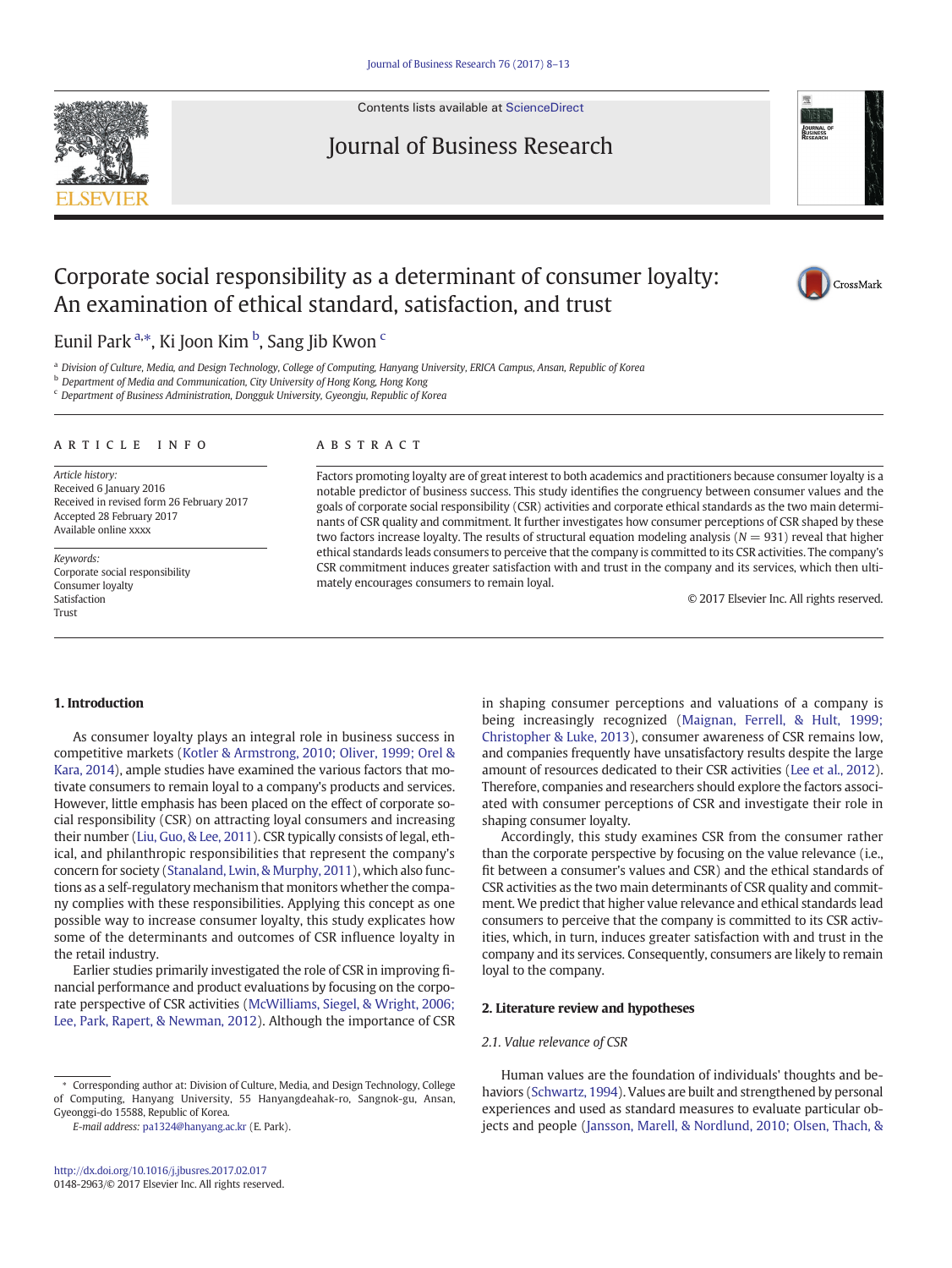

Contents lists available at [ScienceDirect](http://www.sciencedirect.com/science/journal/01482963)

# Journal of Business Research



# Corporate social responsibility as a determinant of consumer loyalty: An examination of ethical standard, satisfaction, and trust



## Eunil Park <sup>a,\*</sup>, Ki Joon Kim <sup>b</sup>, Sang Jib Kwon <sup>c</sup>

a Division of Culture, Media, and Design Technology, College of Computing, Hanyang University, ERICA Campus, Ansan, Republic of Korea

**b** Department of Media and Communication, City University of Hong Kong, Hong Kong

<sup>c</sup> Department of Business Administration, Dongguk University, Gyeongju, Republic of Korea

#### article info abstract

Article history: Received 6 January 2016 Received in revised form 26 February 2017 Accepted 28 February 2017 Available online xxxx

Keywords: Corporate social responsibility Consumer loyalty Satisfaction Trust

Factors promoting loyalty are of great interest to both academics and practitioners because consumer loyalty is a notable predictor of business success. This study identifies the congruency between consumer values and the goals of corporate social responsibility (CSR) activities and corporate ethical standards as the two main determinants of CSR quality and commitment. It further investigates how consumer perceptions of CSR shaped by these two factors increase loyalty. The results of structural equation modeling analysis ( $N = 931$ ) reveal that higher ethical standards leads consumers to perceive that the company is committed to its CSR activities. The company's CSR commitment induces greater satisfaction with and trust in the company and its services, which then ultimately encourages consumers to remain loyal.

© 2017 Elsevier Inc. All rights reserved.

#### 1. Introduction

As consumer loyalty plays an integral role in business success in competitive markets [\(Kotler & Armstrong, 2010; Oliver, 1999; Orel &](#page-4-0) [Kara, 2014](#page-4-0)), ample studies have examined the various factors that motivate consumers to remain loyal to a company's products and services. However, little emphasis has been placed on the effect of corporate social responsibility (CSR) on attracting loyal consumers and increasing their number ([Liu, Guo, & Lee, 2011\)](#page-5-0). CSR typically consists of legal, ethical, and philanthropic responsibilities that represent the company's concern for society ([Stanaland, Lwin, & Murphy, 2011](#page-5-0)), which also functions as a self-regulatory mechanism that monitors whether the company complies with these responsibilities. Applying this concept as one possible way to increase consumer loyalty, this study explicates how some of the determinants and outcomes of CSR influence loyalty in the retail industry.

Earlier studies primarily investigated the role of CSR in improving financial performance and product evaluations by focusing on the corporate perspective of CSR activities ([McWilliams, Siegel, & Wright, 2006;](#page-5-0) [Lee, Park, Rapert, & Newman, 2012\)](#page-5-0). Although the importance of CSR

E-mail address: [pa1324@hanyang.ac.kr](mailto:pa1324@hanyang.ac.kr) (E. Park).

in shaping consumer perceptions and valuations of a company is being increasingly recognized ([Maignan, Ferrell, & Hult, 1999;](#page-5-0) [Christopher & Luke, 2013](#page-5-0)), consumer awareness of CSR remains low, and companies frequently have unsatisfactory results despite the large amount of resources dedicated to their CSR activities ([Lee et al., 2012\)](#page-4-0). Therefore, companies and researchers should explore the factors associated with consumer perceptions of CSR and investigate their role in shaping consumer loyalty.

Accordingly, this study examines CSR from the consumer rather than the corporate perspective by focusing on the value relevance (i.e., fit between a consumer's values and CSR) and the ethical standards of CSR activities as the two main determinants of CSR quality and commitment. We predict that higher value relevance and ethical standards lead consumers to perceive that the company is committed to its CSR activities, which, in turn, induces greater satisfaction with and trust in the company and its services. Consequently, consumers are likely to remain loyal to the company.

#### 2. Literature review and hypotheses

#### 2.1. Value relevance of CSR

Human values are the foundation of individuals' thoughts and behaviors ([Schwartz, 1994](#page-5-0)). Values are built and strengthened by personal experiences and used as standard measures to evaluate particular objects and people [\(Jansson, Marell, & Nordlund, 2010; Olsen, Thach, &](#page-4-0)

<sup>⁎</sup> Corresponding author at: Division of Culture, Media, and Design Technology, College of Computing, Hanyang University, 55 Hanyangdeahak-ro, Sangnok-gu, Ansan, Gyeonggi-do 15588, Republic of Korea.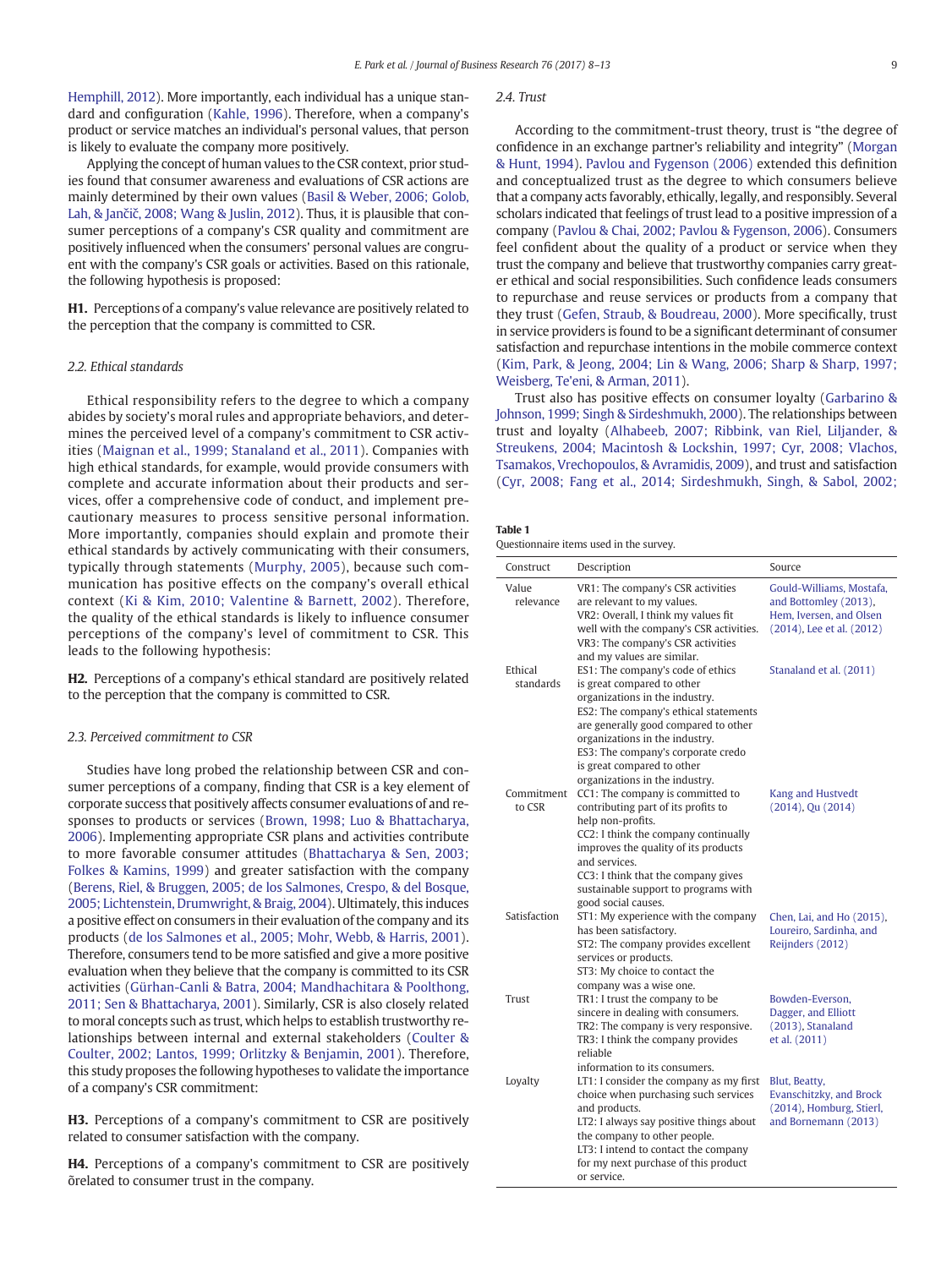<span id="page-1-0"></span>[Hemphill, 2012](#page-4-0)). More importantly, each individual has a unique standard and configuration [\(Kahle, 1996\)](#page-4-0). Therefore, when a company's product or service matches an individual's personal values, that person is likely to evaluate the company more positively.

Applying the concept of human values to the CSR context, prior studies found that consumer awareness and evaluations of CSR actions are mainly determined by their own values [\(Basil & Weber, 2006; Golob,](#page-4-0) Lah, & Jančič[, 2008; Wang & Juslin, 2012\)](#page-4-0). Thus, it is plausible that consumer perceptions of a company's CSR quality and commitment are positively influenced when the consumers' personal values are congruent with the company's CSR goals or activities. Based on this rationale, the following hypothesis is proposed:

H1. Perceptions of a company's value relevance are positively related to the perception that the company is committed to CSR.

#### 2.2. Ethical standards

Ethical responsibility refers to the degree to which a company abides by society's moral rules and appropriate behaviors, and determines the perceived level of a company's commitment to CSR activities [\(Maignan et al., 1999; Stanaland et al., 2011](#page-5-0)). Companies with high ethical standards, for example, would provide consumers with complete and accurate information about their products and services, offer a comprehensive code of conduct, and implement precautionary measures to process sensitive personal information. More importantly, companies should explain and promote their ethical standards by actively communicating with their consumers, typically through statements [\(Murphy, 2005](#page-5-0)), because such communication has positive effects on the company's overall ethical context [\(Ki & Kim, 2010; Valentine & Barnett, 2002\)](#page-4-0). Therefore, the quality of the ethical standards is likely to influence consumer perceptions of the company's level of commitment to CSR. This leads to the following hypothesis:

H2. Perceptions of a company's ethical standard are positively related to the perception that the company is committed to CSR.

#### 2.3. Perceived commitment to CSR

Studies have long probed the relationship between CSR and consumer perceptions of a company, finding that CSR is a key element of corporate success that positively affects consumer evaluations of and responses to products or services ([Brown, 1998; Luo & Bhattacharya,](#page-4-0) [2006\)](#page-4-0). Implementing appropriate CSR plans and activities contribute to more favorable consumer attitudes [\(Bhattacharya & Sen, 2003;](#page-4-0) [Folkes & Kamins, 1999\)](#page-4-0) and greater satisfaction with the company [\(Berens, Riel, & Bruggen, 2005; de los Salmones, Crespo, & del Bosque,](#page-4-0) [2005; Lichtenstein, Drumwright, & Braig, 2004](#page-4-0)). Ultimately, this induces a positive effect on consumers in their evaluation of the company and its products [\(de los Salmones et al., 2005; Mohr, Webb, & Harris, 2001](#page-4-0)). Therefore, consumers tend to be more satisfied and give a more positive evaluation when they believe that the company is committed to its CSR activities ([Gürhan-Canli & Batra, 2004; Mandhachitara & Poolthong,](#page-4-0) [2011; Sen & Bhattacharya, 2001\)](#page-4-0). Similarly, CSR is also closely related to moral concepts such as trust, which helps to establish trustworthy relationships between internal and external stakeholders ([Coulter &](#page-4-0) [Coulter, 2002; Lantos, 1999; Orlitzky & Benjamin, 2001](#page-4-0)). Therefore, this study proposes the following hypotheses to validate the importance of a company's CSR commitment:

H3. Perceptions of a company's commitment to CSR are positively related to consumer satisfaction with the company.

H4. Perceptions of a company's commitment to CSR are positively õrelated to consumer trust in the company.

### 2.4. Trust

According to the commitment-trust theory, trust is "the degree of confidence in an exchange partner's reliability and integrity" ([Morgan](#page-5-0) [& Hunt, 1994](#page-5-0)). [Pavlou and Fygenson \(2006\)](#page-5-0) extended this definition and conceptualized trust as the degree to which consumers believe that a company acts favorably, ethically, legally, and responsibly. Several scholars indicated that feelings of trust lead to a positive impression of a company [\(Pavlou & Chai, 2002; Pavlou & Fygenson, 2006](#page-5-0)). Consumers feel confident about the quality of a product or service when they trust the company and believe that trustworthy companies carry greater ethical and social responsibilities. Such confidence leads consumers to repurchase and reuse services or products from a company that they trust [\(Gefen, Straub, & Boudreau, 2000\)](#page-4-0). More specifically, trust in service providers is found to be a significant determinant of consumer satisfaction and repurchase intentions in the mobile commerce context [\(Kim, Park, & Jeong, 2004; Lin & Wang, 2006; Sharp & Sharp, 1997;](#page-4-0) [Weisberg, Te'eni, & Arman, 2011](#page-4-0)).

Trust also has positive effects on consumer loyalty ([Garbarino &](#page-4-0) [Johnson, 1999; Singh & Sirdeshmukh, 2000\)](#page-4-0). The relationships between trust and loyalty ([Alhabeeb, 2007; Ribbink, van Riel, Liljander, &](#page-4-0) [Streukens, 2004; Macintosh & Lockshin, 1997; Cyr, 2008; Vlachos,](#page-4-0) [Tsamakos, Vrechopoulos, & Avramidis, 2009\)](#page-4-0), and trust and satisfaction [\(Cyr, 2008; Fang et al., 2014; Sirdeshmukh, Singh, & Sabol, 2002;](#page-4-0)

| ٠ |  |
|---|--|
|---|--|

Questionnaire items used in the survey.

| Construct            | Description                                                                                                                                                                                                                                                                                                                | Source                                                                                                    |
|----------------------|----------------------------------------------------------------------------------------------------------------------------------------------------------------------------------------------------------------------------------------------------------------------------------------------------------------------------|-----------------------------------------------------------------------------------------------------------|
| Value<br>relevance   | VR1: The company's CSR activities<br>are relevant to my values.<br>VR2: Overall, I think my values fit<br>well with the company's CSR activities.<br>VR3: The company's CSR activities<br>and my values are similar.                                                                                                       | Gould-Williams, Mostafa,<br>and Bottomley (2013),<br>Hem, Iversen, and Olsen<br>(2014), Lee et al. (2012) |
| Ethical<br>standards | ES1: The company's code of ethics<br>is great compared to other<br>organizations in the industry.<br>ES2: The company's ethical statements<br>are generally good compared to other<br>organizations in the industry.<br>ES3: The company's corporate credo<br>is great compared to other<br>organizations in the industry. | Stanaland et al. (2011)                                                                                   |
| Commitment<br>to CSR | CC1: The company is committed to<br>contributing part of its profits to<br>help non-profits.<br>CC2: I think the company continually<br>improves the quality of its products<br>and services.<br>CC3: I think that the company gives<br>sustainable support to programs with<br>good social causes.                        | Kang and Hustvedt<br>$(2014)$ , Qu $(2014)$                                                               |
| Satisfaction         | ST1: My experience with the company<br>has been satisfactory.<br>ST2: The company provides excellent<br>services or products.<br>ST3: My choice to contact the<br>company was a wise one.                                                                                                                                  | Chen, Lai, and Ho (2015),<br>Loureiro, Sardinha, and<br>Reijnders (2012)                                  |
| Trust                | TR1: I trust the company to be<br>sincere in dealing with consumers.<br>TR2: The company is very responsive.<br>TR3: I think the company provides<br>reliable<br>information to its consumers.                                                                                                                             | Bowden-Everson,<br>Dagger, and Elliott<br>$(2013)$ , Stanaland<br>et al. (2011)                           |
| Loyalty              | LT1: I consider the company as my first<br>choice when purchasing such services<br>and products.<br>LT2: I always say positive things about<br>the company to other people.<br>LT3: I intend to contact the company<br>for my next purchase of this product<br>or service                                                  | Blut, Beatty,<br>Evanschitzky, and Brock<br>(2014), Homburg, Stierl,<br>and Bornemann (2013)              |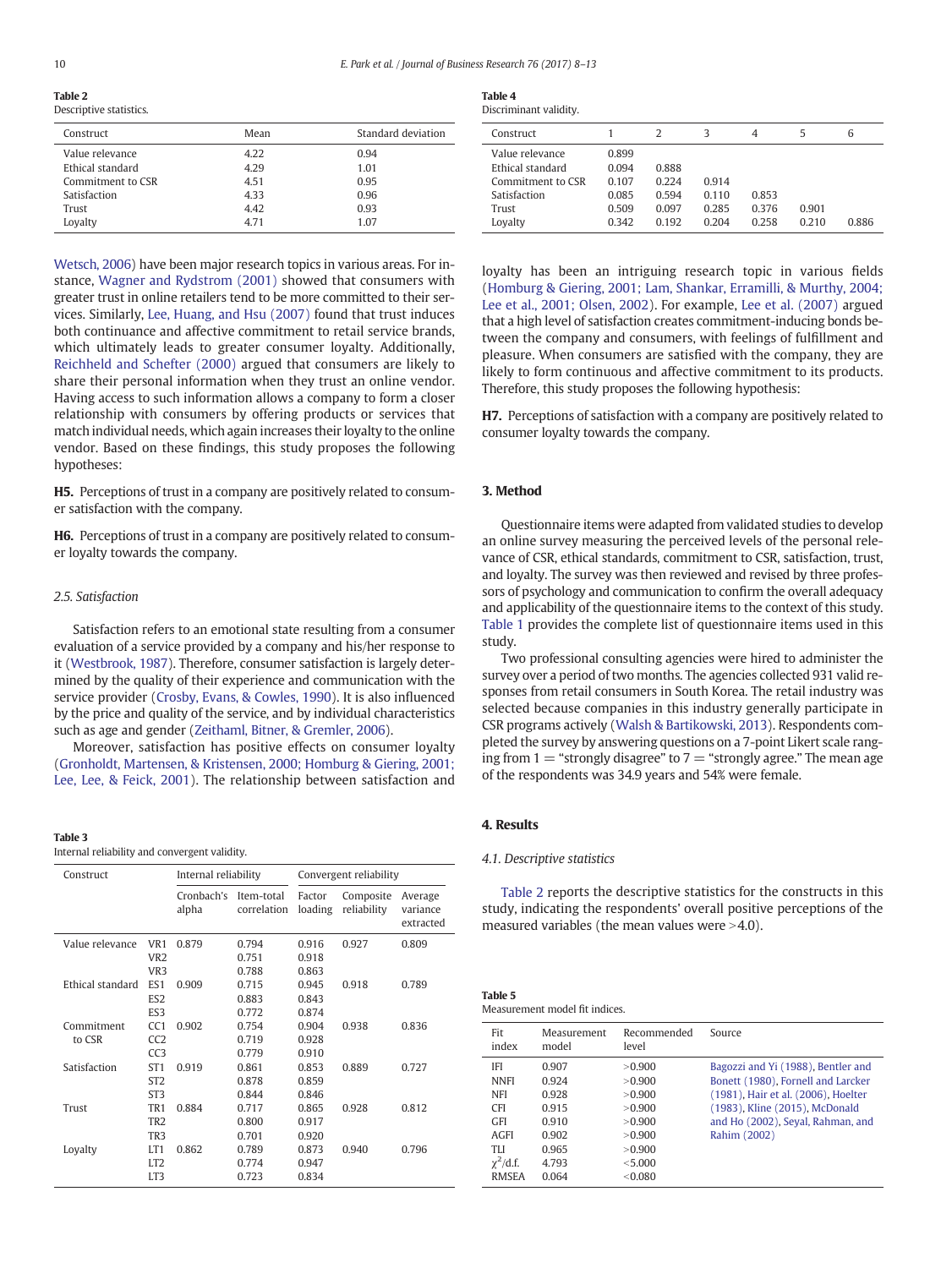<span id="page-2-0"></span>Table 2

| Descriptive statistics. |                    |  |  |  |  |  |
|-------------------------|--------------------|--|--|--|--|--|
| Mean                    | Standard deviation |  |  |  |  |  |
| 4.22                    | 0.94               |  |  |  |  |  |
| 4.29                    | 1.01               |  |  |  |  |  |
| 4.51                    | 0.95               |  |  |  |  |  |
| 4.33                    | 0.96               |  |  |  |  |  |
| 4.42                    | 0.93               |  |  |  |  |  |
| 4.71                    | 1.07               |  |  |  |  |  |
|                         |                    |  |  |  |  |  |

[Wetsch, 2006\)](#page-4-0) have been major research topics in various areas. For instance, [Wagner and Rydstrom \(2001\)](#page-5-0) showed that consumers with greater trust in online retailers tend to be more committed to their services. Similarly, [Lee, Huang, and Hsu \(2007\)](#page-4-0) found that trust induces both continuance and affective commitment to retail service brands, which ultimately leads to greater consumer loyalty. Additionally, [Reichheld and Schefter \(2000\)](#page-5-0) argued that consumers are likely to share their personal information when they trust an online vendor. Having access to such information allows a company to form a closer relationship with consumers by offering products or services that match individual needs, which again increases their loyalty to the online vendor. Based on these findings, this study proposes the following hypotheses:

H5. Perceptions of trust in a company are positively related to consumer satisfaction with the company.

H6. Perceptions of trust in a company are positively related to consumer loyalty towards the company.

#### 2.5. Satisfaction

Satisfaction refers to an emotional state resulting from a consumer evaluation of a service provided by a company and his/her response to it [\(Westbrook, 1987\)](#page-5-0). Therefore, consumer satisfaction is largely determined by the quality of their experience and communication with the service provider ([Crosby, Evans, & Cowles, 1990](#page-4-0)). It is also influenced by the price and quality of the service, and by individual characteristics such as age and gender ([Zeithaml, Bitner, & Gremler, 2006\)](#page-5-0).

Moreover, satisfaction has positive effects on consumer loyalty [\(Gronholdt, Martensen, & Kristensen, 2000; Homburg & Giering, 2001;](#page-4-0) [Lee, Lee, & Feick, 2001](#page-4-0)). The relationship between satisfaction and

#### Table 3

Internal reliability and convergent validity.

| Construct        |                 | Internal reliability |                           | Convergent reliability |                          |                                  |  |
|------------------|-----------------|----------------------|---------------------------|------------------------|--------------------------|----------------------------------|--|
|                  |                 | Cronbach's<br>alpha  | Item-total<br>correlation | Factor<br>loading      | Composite<br>reliability | Average<br>variance<br>extracted |  |
| Value relevance  | VR <sub>1</sub> | 0.879                | 0.794                     | 0.916                  | 0.927                    | 0.809                            |  |
|                  | VR <sub>2</sub> |                      | 0.751                     | 0.918                  |                          |                                  |  |
|                  | VR <sub>3</sub> |                      | 0.788                     | 0.863                  |                          |                                  |  |
| Ethical standard | ES <sub>1</sub> | 0.909                | 0.715                     | 0.945                  | 0.918                    | 0.789                            |  |
|                  | ES <sub>2</sub> |                      | 0.883                     | 0.843                  |                          |                                  |  |
|                  | FS3             |                      | 0.772                     | 0.874                  |                          |                                  |  |
| Commitment       | CC1             | 0.902                | 0.754                     | 0.904                  | 0.938                    | 0.836                            |  |
| to CSR           | CC2             |                      | 0.719                     | 0.928                  |                          |                                  |  |
|                  | CC3             |                      | 0.779                     | 0.910                  |                          |                                  |  |
| Satisfaction     | ST <sub>1</sub> | 0.919                | 0.861                     | 0.853                  | 0.889                    | 0.727                            |  |
|                  | ST <sub>2</sub> |                      | 0.878                     | 0.859                  |                          |                                  |  |
|                  | ST <sub>3</sub> |                      | 0.844                     | 0.846                  |                          |                                  |  |
| Trust            | TR <sub>1</sub> | 0.884                | 0.717                     | 0.865                  | 0.928                    | 0.812                            |  |
|                  | TR <sub>2</sub> |                      | 0.800                     | 0.917                  |                          |                                  |  |
|                  | TR <sub>3</sub> |                      | 0.701                     | 0.920                  |                          |                                  |  |
| Loyalty          | LT <sub>1</sub> | 0.862                | 0.789                     | 0.873                  | 0.940                    | 0.796                            |  |
|                  | LT <sub>2</sub> |                      | 0.774                     | 0.947                  |                          |                                  |  |
|                  | LT3             |                      | 0.723                     | 0.834                  |                          |                                  |  |

| <b>Table 4</b>        |
|-----------------------|
| Discriminant validity |

| Construct                                                |                         |                         | 3                       | 4                       | 5              | 6     |
|----------------------------------------------------------|-------------------------|-------------------------|-------------------------|-------------------------|----------------|-------|
| Value relevance<br>Ethical standard<br>Commitment to CSR | 0.899<br>0.094<br>0.107 | 0.888<br>0.224          | 0.914                   |                         |                |       |
| Satisfaction<br>Trust<br>Loyalty                         | 0.085<br>0.509<br>0.342 | 0.594<br>0.097<br>0.192 | 0.110<br>0.285<br>0.204 | 0.853<br>0.376<br>0.258 | 0.901<br>0.210 | 0.886 |

loyalty has been an intriguing research topic in various fields [\(Homburg & Giering, 2001; Lam, Shankar, Erramilli, & Murthy, 2004;](#page-4-0) [Lee et al., 2001; Olsen, 2002\)](#page-4-0). For example, [Lee et al. \(2007\)](#page-4-0) argued that a high level of satisfaction creates commitment-inducing bonds between the company and consumers, with feelings of fulfillment and pleasure. When consumers are satisfied with the company, they are likely to form continuous and affective commitment to its products. Therefore, this study proposes the following hypothesis:

H7. Perceptions of satisfaction with a company are positively related to consumer loyalty towards the company.

#### 3. Method

Questionnaire items were adapted from validated studies to develop an online survey measuring the perceived levels of the personal relevance of CSR, ethical standards, commitment to CSR, satisfaction, trust, and loyalty. The survey was then reviewed and revised by three professors of psychology and communication to confirm the overall adequacy and applicability of the questionnaire items to the context of this study. [Table 1](#page-1-0) provides the complete list of questionnaire items used in this study.

Two professional consulting agencies were hired to administer the survey over a period of two months. The agencies collected 931 valid responses from retail consumers in South Korea. The retail industry was selected because companies in this industry generally participate in CSR programs actively [\(Walsh & Bartikowski, 2013](#page-5-0)). Respondents completed the survey by answering questions on a 7-point Likert scale ranging from  $1 =$  "strongly disagree" to  $7 =$  "strongly agree." The mean age of the respondents was 34.9 years and 54% were female.

#### 4. Results

#### 4.1. Descriptive statistics

Table 2 reports the descriptive statistics for the constructs in this study, indicating the respondents' overall positive perceptions of the measured variables (the mean values were  $>4.0$ ).

| Table 5 |  |                                |  |  |
|---------|--|--------------------------------|--|--|
|         |  | Measurement model fit indices. |  |  |

| Fit<br>index                                                                                                      | Measurement<br>model                                                 | Recommended<br>level                                                                 | Source                                                                                                                                                                                                 |
|-------------------------------------------------------------------------------------------------------------------|----------------------------------------------------------------------|--------------------------------------------------------------------------------------|--------------------------------------------------------------------------------------------------------------------------------------------------------------------------------------------------------|
| <b>IFI</b><br><b>NNFI</b><br><b>NFI</b><br><b>CFI</b><br><b>GFI</b><br><b>AGFI</b><br><b>TH</b><br>$\chi^2$ /d.f. | 0.907<br>0.924<br>0.928<br>0.915<br>0.910<br>0.902<br>0.965<br>4.793 | > 0.900<br>> 0.900<br>> 0.900<br>> 0.900<br>> 0.900<br>> 0.900<br>> 0.900<br>< 5.000 | Bagozzi and Yi (1988), Bentler and<br>Bonett (1980), Fornell and Larcker<br>(1981), Hair et al. (2006), Hoelter<br>(1983), Kline (2015), McDonald<br>and Ho (2002), Seyal, Rahman, and<br>Rahim (2002) |
| <b>RMSEA</b>                                                                                                      | 0.064                                                                | < 0.080                                                                              |                                                                                                                                                                                                        |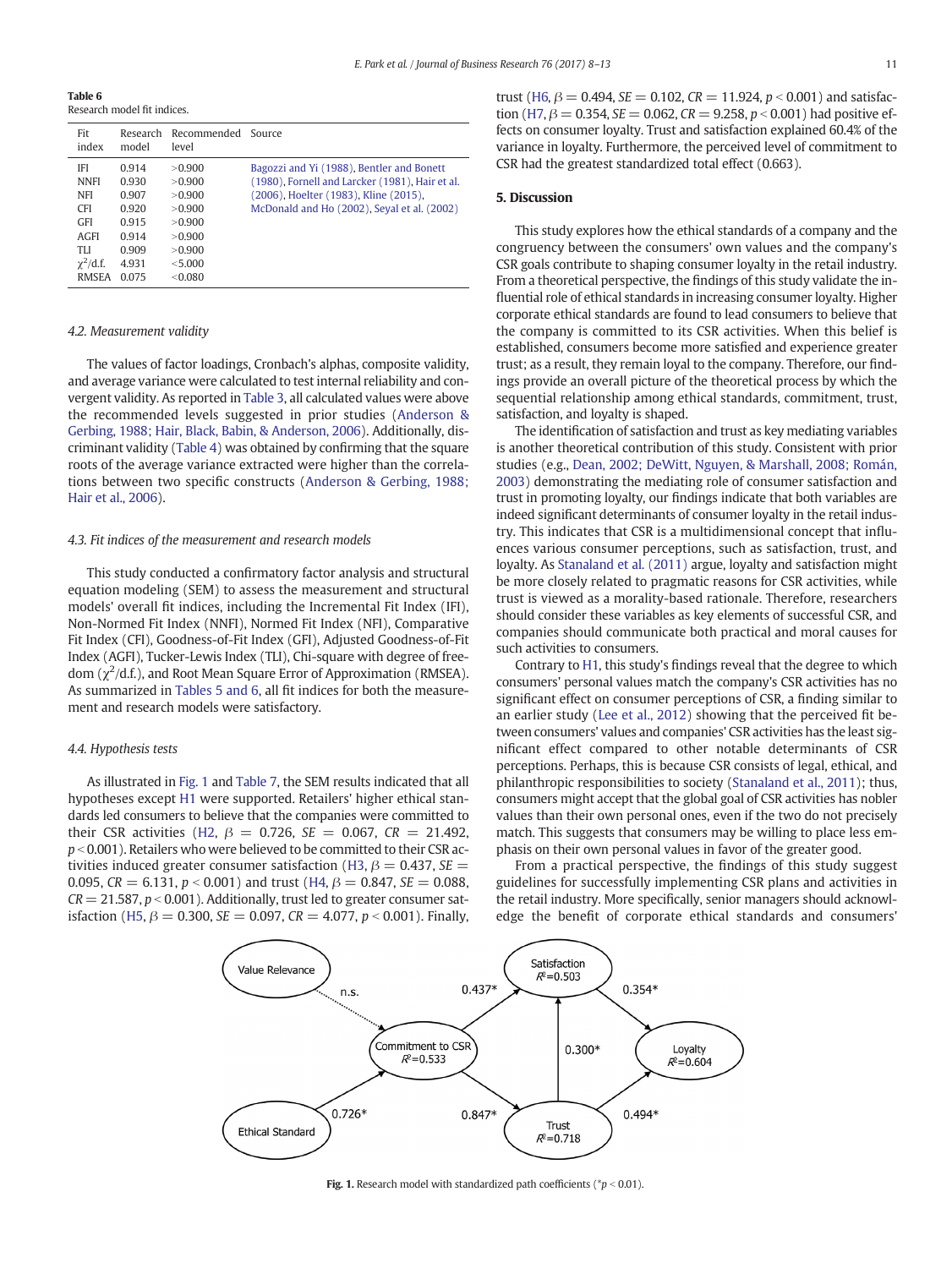Table 6 Research model fit indices.

| Fit<br>index                                                       | Research<br>model                         | Recommended<br>level                            | Source                                                                                                                                                                               |
|--------------------------------------------------------------------|-------------------------------------------|-------------------------------------------------|--------------------------------------------------------------------------------------------------------------------------------------------------------------------------------------|
| <b>IFI</b><br><b>NNFI</b><br><b>NFI</b><br><b>CFI</b>              | 0.914<br>0.930<br>0.907<br>0.920          | >0.900<br>>0.900<br>>0.900<br>>0.900            | Bagozzi and Yi (1988), Bentler and Bonett<br>(1980), Fornell and Larcker (1981), Hair et al.<br>(2006), Hoelter (1983), Kline (2015),<br>McDonald and Ho (2002), Seyal et al. (2002) |
| <b>GFI</b><br><b>AGFI</b><br>TLI<br>$\chi^2$ /d.f.<br><b>RMSEA</b> | 0.915<br>0.914<br>0.909<br>4.931<br>0.075 | >0.900<br>>0.900<br>>0.900<br>< 5.000<br>&0.080 |                                                                                                                                                                                      |

#### 4.2. Measurement validity

The values of factor loadings, Cronbach's alphas, composite validity, and average variance were calculated to test internal reliability and convergent validity. As reported in [Table 3,](#page-2-0) all calculated values were above the recommended levels suggested in prior studies ([Anderson &](#page-4-0) [Gerbing, 1988; Hair, Black, Babin, & Anderson, 2006\)](#page-4-0). Additionally, discriminant validity [\(Table 4\)](#page-2-0) was obtained by confirming that the square roots of the average variance extracted were higher than the correlations between two specific constructs [\(Anderson & Gerbing, 1988;](#page-4-0) [Hair et al., 2006](#page-4-0)).

#### 4.3. Fit indices of the measurement and research models

This study conducted a confirmatory factor analysis and structural equation modeling (SEM) to assess the measurement and structural models' overall fit indices, including the Incremental Fit Index (IFI), Non-Normed Fit Index (NNFI), Normed Fit Index (NFI), Comparative Fit Index (CFI), Goodness-of-Fit Index (GFI), Adjusted Goodness-of-Fit Index (AGFI), Tucker-Lewis Index (TLI), Chi-square with degree of freedom ( $\chi^2$ /d.f.), and Root Mean Square Error of Approximation (RMSEA). As summarized in [Tables 5 and 6,](#page-2-0) all fit indices for both the measurement and research models were satisfactory.

#### 4.4. Hypothesis tests

As illustrated in Fig. 1 and [Table 7](#page-4-0), the SEM results indicated that all hypotheses except [H1](#page-1-0) were supported. Retailers' higher ethical standards led consumers to believe that the companies were committed to their CSR activities ([H2](#page-1-0),  $\beta = 0.726$ , SE = 0.067, CR = 21.492,  $p < 0.001$ ). Retailers who were believed to be committed to their CSR ac-tivities induced greater consumer satisfaction ([H3](#page-1-0),  $\beta = 0.437$ , SE = 0.095,  $CR = 6.131$ ,  $p < 0.001$ ) and trust [\(H4,](#page-1-0)  $\beta = 0.847$ ,  $SE = 0.088$ ,  $CR = 21.587$ ,  $p < 0.001$ ). Additionally, trust led to greater consumer sat-isfaction [\(H5,](#page-2-0)  $\beta = 0.300$ , SE = 0.097, CR = 4.077, p < 0.001). Finally, trust ([H6](#page-2-0),  $\beta = 0.494$ , SE = 0.102, CR = 11.924, p < 0.001) and satisfac-tion ([H7](#page-2-0),  $\beta = 0.354$ , SE = 0.062, CR = 9.258, p < 0.001) had positive effects on consumer loyalty. Trust and satisfaction explained 60.4% of the variance in loyalty. Furthermore, the perceived level of commitment to CSR had the greatest standardized total effect (0.663).

#### 5. Discussion

This study explores how the ethical standards of a company and the congruency between the consumers' own values and the company's CSR goals contribute to shaping consumer loyalty in the retail industry. From a theoretical perspective, the findings of this study validate the influential role of ethical standards in increasing consumer loyalty. Higher corporate ethical standards are found to lead consumers to believe that the company is committed to its CSR activities. When this belief is established, consumers become more satisfied and experience greater trust; as a result, they remain loyal to the company. Therefore, our findings provide an overall picture of the theoretical process by which the sequential relationship among ethical standards, commitment, trust, satisfaction, and loyalty is shaped.

The identification of satisfaction and trust as key mediating variables is another theoretical contribution of this study. Consistent with prior studies (e.g., [Dean, 2002; DeWitt, Nguyen, & Marshall, 2008; Román,](#page-4-0) [2003\)](#page-4-0) demonstrating the mediating role of consumer satisfaction and trust in promoting loyalty, our findings indicate that both variables are indeed significant determinants of consumer loyalty in the retail industry. This indicates that CSR is a multidimensional concept that influences various consumer perceptions, such as satisfaction, trust, and loyalty. As [Stanaland et al. \(2011\)](#page-5-0) argue, loyalty and satisfaction might be more closely related to pragmatic reasons for CSR activities, while trust is viewed as a morality-based rationale. Therefore, researchers should consider these variables as key elements of successful CSR, and companies should communicate both practical and moral causes for such activities to consumers.

Contrary to [H1,](#page-1-0) this study's findings reveal that the degree to which consumers' personal values match the company's CSR activities has no significant effect on consumer perceptions of CSR, a finding similar to an earlier study [\(Lee et al., 2012\)](#page-4-0) showing that the perceived fit between consumers' values and companies' CSR activities has the least significant effect compared to other notable determinants of CSR perceptions. Perhaps, this is because CSR consists of legal, ethical, and philanthropic responsibilities to society [\(Stanaland et al., 2011\)](#page-5-0); thus, consumers might accept that the global goal of CSR activities has nobler values than their own personal ones, even if the two do not precisely match. This suggests that consumers may be willing to place less emphasis on their own personal values in favor of the greater good.

From a practical perspective, the findings of this study suggest guidelines for successfully implementing CSR plans and activities in the retail industry. More specifically, senior managers should acknowledge the benefit of corporate ethical standards and consumers'



Fig. 1. Research model with standardized path coefficients ( $p < 0.01$ ).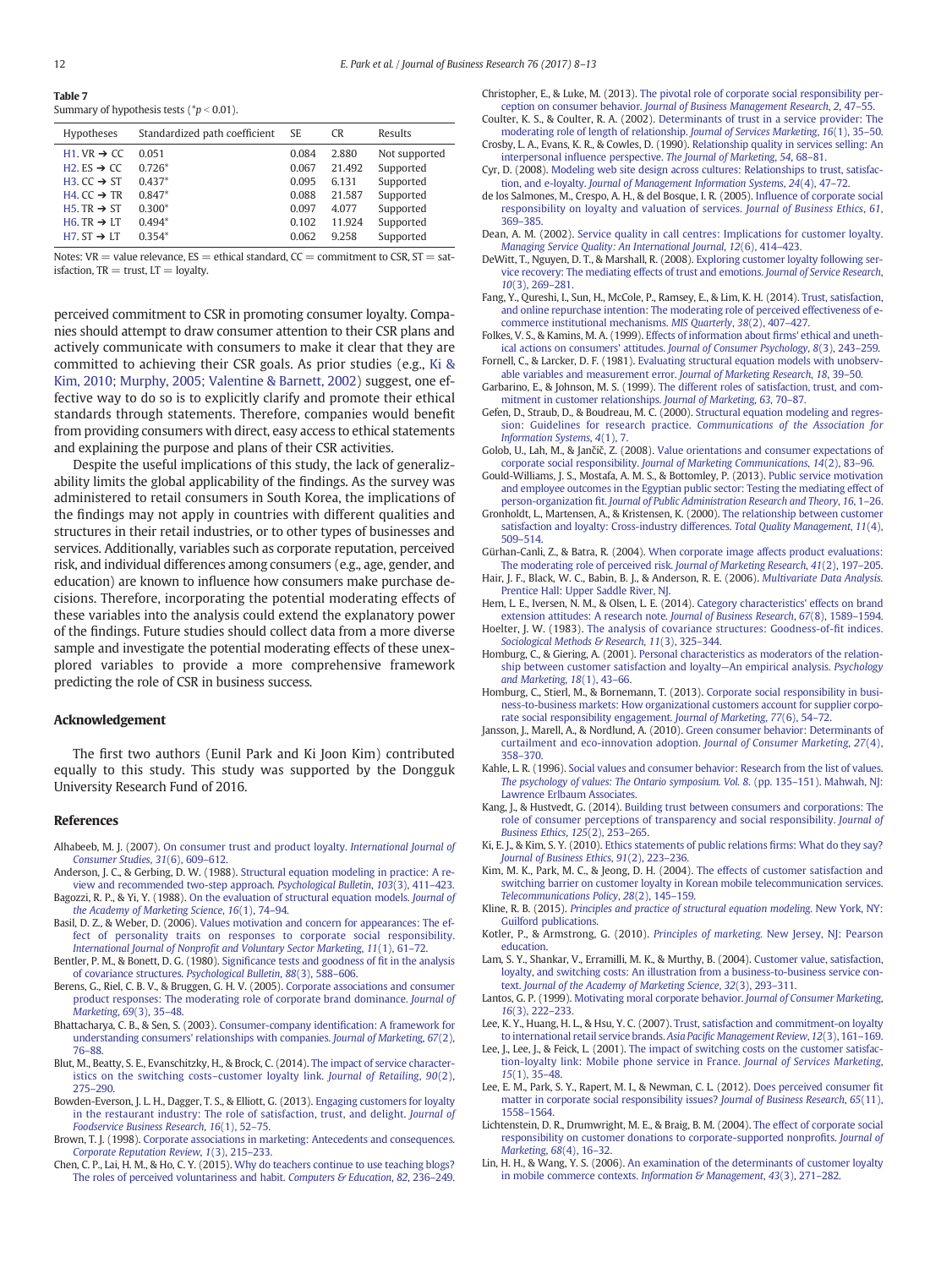<span id="page-4-0"></span>

| Table 7                                     |
|---------------------------------------------|
| Summary of hypothesis tests ( $p < 0.01$ ). |

| <b>Hypotheses</b>                                | Standardized path coefficient | -SE   | <b>CR</b> | Results       |
|--------------------------------------------------|-------------------------------|-------|-----------|---------------|
| H <sub>1</sub> . VR $\rightarrow$ CC             | 0.051                         | 0.084 | 2.880     | Not supported |
| H <sub>2</sub> . E <sub>S</sub> $\rightarrow$ CC | $0.726*$                      | 0.067 | 21.492    | Supported     |
| H3. $CC \rightarrow ST$                          | $0.437*$                      | 0.095 | 6.131     | Supported     |
| H4. $CC \rightarrow TR$                          | $0.847*$                      | 0.088 | 21.587    | Supported     |
| H <sub>5</sub> . TR $\rightarrow$ ST             | $0.300*$                      | 0.097 | 4.077     | Supported     |
| H6. TR $\rightarrow$ LT                          | $0.494*$                      | 0.102 | 11.924    | Supported     |
| $H7. ST \rightarrow LT$                          | $0.354*$                      | 0.062 | 9.258     | Supported     |
|                                                  |                               |       |           |               |

Notes:  $VR =$  value relevance,  $ES =$  ethical standard,  $CC =$  commitment to CSR,  $ST =$  satisfaction,  $TR = trust$ ,  $LT =$  loyalty.

perceived commitment to CSR in promoting consumer loyalty. Companies should attempt to draw consumer attention to their CSR plans and actively communicate with consumers to make it clear that they are committed to achieving their CSR goals. As prior studies (e.g., Ki & Kim, 2010; Murphy, 2005; Valentine & Barnett, 2002) suggest, one effective way to do so is to explicitly clarify and promote their ethical standards through statements. Therefore, companies would benefit from providing consumers with direct, easy access to ethical statements and explaining the purpose and plans of their CSR activities.

Despite the useful implications of this study, the lack of generalizability limits the global applicability of the findings. As the survey was administered to retail consumers in South Korea, the implications of the findings may not apply in countries with different qualities and structures in their retail industries, or to other types of businesses and services. Additionally, variables such as corporate reputation, perceived risk, and individual differences among consumers (e.g., age, gender, and education) are known to influence how consumers make purchase decisions. Therefore, incorporating the potential moderating effects of these variables into the analysis could extend the explanatory power of the findings. Future studies should collect data from a more diverse sample and investigate the potential moderating effects of these unexplored variables to provide a more comprehensive framework predicting the role of CSR in business success.

#### Acknowledgement

The first two authors (Eunil Park and Ki Joon Kim) contributed equally to this study. This study was supported by the Dongguk University Research Fund of 2016.

#### References

- Alhabeeb, M. J. (2007). [On consumer trust and product loyalty.](http://refhub.elsevier.com/S0148-2963(17)30078-4/rf0005) International Journal of [Consumer Studies](http://refhub.elsevier.com/S0148-2963(17)30078-4/rf0005), 31(6), 609–612.
- Anderson, J. C., & Gerbing, D. W. (1988). [Structural equation modeling in practice: A re](http://refhub.elsevier.com/S0148-2963(17)30078-4/rf0010)[view and recommended two-step approach.](http://refhub.elsevier.com/S0148-2963(17)30078-4/rf0010) Psychological Bulletin, 103(3), 411–423.
- Bagozzi, R. P., & Yi, Y. (1988). [On the evaluation of structural equation models.](http://refhub.elsevier.com/S0148-2963(17)30078-4/rf0015) Journal of [the Academy of Marketing Science](http://refhub.elsevier.com/S0148-2963(17)30078-4/rf0015), 16(1), 74–94.
- Basil, D. Z., & Weber, D. (2006). [Values motivation and concern for appearances: The ef](http://refhub.elsevier.com/S0148-2963(17)30078-4/rf0020)[fect of personality traits on responses to corporate social responsibility.](http://refhub.elsevier.com/S0148-2963(17)30078-4/rf0020) International Journal of Nonprofi[t and Voluntary Sector Marketing](http://refhub.elsevier.com/S0148-2963(17)30078-4/rf0020), 11(1), 61–72.
- Bentler, P. M., & Bonett, D. G. (1980). Signifi[cance tests and goodness of](http://refhub.elsevier.com/S0148-2963(17)30078-4/rf0025) fit in the analysis [of covariance structures.](http://refhub.elsevier.com/S0148-2963(17)30078-4/rf0025) Psychological Bulletin, 88(3), 588–606.
- Berens, G., Riel, C. B. V., & Bruggen, G. H. V. (2005). [Corporate associations and consumer](http://refhub.elsevier.com/S0148-2963(17)30078-4/rf0030) [product responses: The moderating role of corporate brand dominance.](http://refhub.elsevier.com/S0148-2963(17)30078-4/rf0030) Journal of [Marketing](http://refhub.elsevier.com/S0148-2963(17)30078-4/rf0030), 69(3), 35–48.
- Bhattacharya, C. B., & Sen, S. (2003). [Consumer-company identi](http://refhub.elsevier.com/S0148-2963(17)30078-4/rf0035)fication: A framework for [understanding consumers' relationships with companies.](http://refhub.elsevier.com/S0148-2963(17)30078-4/rf0035) Journal of Marketing, 67(2), 76–[88.](http://refhub.elsevier.com/S0148-2963(17)30078-4/rf0035)
- Blut, M., Beatty, S. E., Evanschitzky, H., & Brock, C. (2014). [The impact of service character](http://refhub.elsevier.com/S0148-2963(17)30078-4/rf0040)[istics on the switching costs](http://refhub.elsevier.com/S0148-2963(17)30078-4/rf0040)–customer loyalty link. Journal of Retailing, 90(2), 275–[290.](http://refhub.elsevier.com/S0148-2963(17)30078-4/rf0040)
- Bowden-Everson, J. L. H., Dagger, T. S., & Elliott, G. (2013). [Engaging customers for loyalty](http://refhub.elsevier.com/S0148-2963(17)30078-4/rf0045) [in the restaurant industry: The role of satisfaction, trust, and delight.](http://refhub.elsevier.com/S0148-2963(17)30078-4/rf0045) Journal of [Foodservice Business Research](http://refhub.elsevier.com/S0148-2963(17)30078-4/rf0045), 16(1), 52–75.
- Brown, T. J. (1998). [Corporate associations in marketing: Antecedents and consequences.](http://refhub.elsevier.com/S0148-2963(17)30078-4/rf0050) [Corporate Reputation Review](http://refhub.elsevier.com/S0148-2963(17)30078-4/rf0050), 1(3), 215–233.
- Chen, C. P., Lai, H. M., & Ho, C. Y. (2015). [Why do teachers continue to use teaching blogs?](http://refhub.elsevier.com/S0148-2963(17)30078-4/rf0060) [The roles of perceived voluntariness and habit.](http://refhub.elsevier.com/S0148-2963(17)30078-4/rf0060) Computers & Education, 82, 236-249.

Christopher, E., & Luke, M. (2013). [The pivotal role of corporate social responsibility per](http://refhub.elsevier.com/S0148-2963(17)30078-4/rf0065)ception on consumer behavior. [Journal of Business Management Research](http://refhub.elsevier.com/S0148-2963(17)30078-4/rf0065), 2, 47–55.

- Coulter, K. S., & Coulter, R. A. (2002). [Determinants of trust in a service provider: The](http://refhub.elsevier.com/S0148-2963(17)30078-4/rf0070) [moderating role of length of relationship.](http://refhub.elsevier.com/S0148-2963(17)30078-4/rf0070) Journal of Services Marketing, 16(1), 35–50. Crosby, L. A., Evans, K. R., & Cowles, D. (1990). [Relationship quality in services selling: An](http://refhub.elsevier.com/S0148-2963(17)30078-4/rf0075)
- interpersonal influence perspective. [The Journal of Marketing](http://refhub.elsevier.com/S0148-2963(17)30078-4/rf0075), 54, 68–81. Cyr, D. (2008). [Modeling web site design across cultures: Relationships to trust, satisfac-](http://refhub.elsevier.com/S0148-2963(17)30078-4/rf0080)
- tion, and e-loyalty. [Journal of Management Information Systems](http://refhub.elsevier.com/S0148-2963(17)30078-4/rf0080), 24(4), 47–72. de los Salmones, M., Crespo, A. H., & del Bosque, I. R. (2005). Infl[uence of corporate social](http://refhub.elsevier.com/S0148-2963(17)30078-4/rf0085) [responsibility on loyalty and valuation of services.](http://refhub.elsevier.com/S0148-2963(17)30078-4/rf0085) Journal of Business Ethics, 61,
- 369–[385.](http://refhub.elsevier.com/S0148-2963(17)30078-4/rf0085) Dean, A. M. (2002). [Service quality in call centres: Implications for customer loyalty.](http://refhub.elsevier.com/S0148-2963(17)30078-4/rf0090)
- [Managing Service Quality: An International Journal](http://refhub.elsevier.com/S0148-2963(17)30078-4/rf0090), 12(6), 414–423. DeWitt, T., Nguyen, D. T., & Marshall, R. (2008). [Exploring customer loyalty following ser-](http://refhub.elsevier.com/S0148-2963(17)30078-4/rf0095)
- [vice recovery: The mediating effects of trust and emotions.](http://refhub.elsevier.com/S0148-2963(17)30078-4/rf0095) Journal of Service Research, 10[\(3\), 269](http://refhub.elsevier.com/S0148-2963(17)30078-4/rf0095)–281.
- Fang, Y., Qureshi, I., Sun, H., McCole, P., Ramsey, E., & Lim, K. H. (2014). [Trust, satisfaction,](http://refhub.elsevier.com/S0148-2963(17)30078-4/rf0100) [and online repurchase intention: The moderating role of perceived effectiveness of e](http://refhub.elsevier.com/S0148-2963(17)30078-4/rf0100)[commerce institutional mechanisms.](http://refhub.elsevier.com/S0148-2963(17)30078-4/rf0100) MIS Quarterly, 38(2), 407–427.
- Folkes, V. S., & Kamins, M. A. (1999). [Effects of information about](http://refhub.elsevier.com/S0148-2963(17)30078-4/rf0105) firms' ethical and uneth[ical actions on consumers' attitudes.](http://refhub.elsevier.com/S0148-2963(17)30078-4/rf0105) Journal of Consumer Psychology, 8(3), 243–259. Fornell, C., & Larcker, D. F. (1981). [Evaluating structural equation models with unobserv-](http://refhub.elsevier.com/S0148-2963(17)30078-4/rf0110)
- [able variables and measurement error.](http://refhub.elsevier.com/S0148-2963(17)30078-4/rf0110) Journal of Marketing Research, 18, 39–50. Garbarino, E., & Johnson, M. S. (1999). [The different roles of satisfaction, trust, and com-](http://refhub.elsevier.com/S0148-2963(17)30078-4/rf0115)
- [mitment in customer relationships.](http://refhub.elsevier.com/S0148-2963(17)30078-4/rf0115) Journal of Marketing, 63, 70–87. Gefen, D., Straub, D., & Boudreau, M. C. (2000). [Structural equation modeling and regres-](http://refhub.elsevier.com/S0148-2963(17)30078-4/rf0120)
- [sion: Guidelines for research practice.](http://refhub.elsevier.com/S0148-2963(17)30078-4/rf0120) Communications of the Association for [Information Systems](http://refhub.elsevier.com/S0148-2963(17)30078-4/rf0120), 4(1), 7.
- Golob, U., Lah, M., & Jančič, Z. (2008). [Value orientations and consumer expectations of](http://refhub.elsevier.com/S0148-2963(17)30078-4/rf0125) corporate social responsibility. [Journal of Marketing Communications](http://refhub.elsevier.com/S0148-2963(17)30078-4/rf0125), 14(2), 83–96.
- Gould-Williams, J. S., Mostafa, A. M. S., & Bottomley, P. (2013). [Public service motivation](http://refhub.elsevier.com/S0148-2963(17)30078-4/rf0130) [and employee outcomes in the Egyptian public sector: Testing the mediating effect of](http://refhub.elsevier.com/S0148-2963(17)30078-4/rf0130) person-organization fit. [Journal of Public Administration Research and Theory](http://refhub.elsevier.com/S0148-2963(17)30078-4/rf0130), 16, 1–26.
- Gronholdt, L., Martensen, A., & Kristensen, K. (2000). [The relationship between customer](http://refhub.elsevier.com/S0148-2963(17)30078-4/rf0135) [satisfaction and loyalty: Cross-industry differences.](http://refhub.elsevier.com/S0148-2963(17)30078-4/rf0135) Total Quality Management, 11(4), 509–[514.](http://refhub.elsevier.com/S0148-2963(17)30078-4/rf0135)
- Gürhan-Canli, Z., & Batra, R. (2004). [When corporate image affects product evaluations:](http://refhub.elsevier.com/S0148-2963(17)30078-4/rf0140) [The moderating role of perceived risk.](http://refhub.elsevier.com/S0148-2963(17)30078-4/rf0140) Journal of Marketing Research, 41(2), 197–205.
- Hair, J. F., Black, W. C., Babin, B. J., & Anderson, R. E. (2006). [Multivariate Data Analysis.](http://refhub.elsevier.com/S0148-2963(17)30078-4/rf0145) [Prentice Hall: Upper Saddle River, NJ.](http://refhub.elsevier.com/S0148-2963(17)30078-4/rf0145)
- Hem, L. E., Iversen, N. M., & Olsen, L. E. (2014). [Category characteristics' effects on brand](http://refhub.elsevier.com/S0148-2963(17)30078-4/rf0150) [extension attitudes: A research note.](http://refhub.elsevier.com/S0148-2963(17)30078-4/rf0150) Journal of Business Research, 67(8), 1589–1594. Hoelter, J. W. (1983). [The analysis of covariance structures: Goodness-of-](http://refhub.elsevier.com/S0148-2963(17)30078-4/rf0155)fit indices.
- [Sociological Methods & Research](http://refhub.elsevier.com/S0148-2963(17)30078-4/rf0155), 11(3), 325-344. Homburg, C., & Giering, A. (2001). [Personal characteristics as moderators of the relation-](http://refhub.elsevier.com/S0148-2963(17)30078-4/rf0160)
- [ship between customer satisfaction and loyalty](http://refhub.elsevier.com/S0148-2963(17)30078-4/rf0160)—An empirical analysis. Psychology [and Marketing](http://refhub.elsevier.com/S0148-2963(17)30078-4/rf0160), 18(1), 43–66.
- Homburg, C., Stierl, M., & Bornemann, T. (2013). [Corporate social responsibility in busi](http://refhub.elsevier.com/S0148-2963(17)30078-4/rf0165)[ness-to-business markets: How organizational customers account for supplier corpo](http://refhub.elsevier.com/S0148-2963(17)30078-4/rf0165)[rate social responsibility engagement.](http://refhub.elsevier.com/S0148-2963(17)30078-4/rf0165) Journal of Marketing, 77(6), 54–72.
- Jansson, J., Marell, A., & Nordlund, A. (2010). [Green consumer behavior: Determinants of](http://refhub.elsevier.com/S0148-2963(17)30078-4/rf0170) [curtailment and eco-innovation adoption.](http://refhub.elsevier.com/S0148-2963(17)30078-4/rf0170) Journal of Consumer Marketing, 27(4), 358–[370.](http://refhub.elsevier.com/S0148-2963(17)30078-4/rf0170)
- Kahle, L. R. (1996). [Social values and consumer behavior: Research from the list of values.](http://refhub.elsevier.com/S0148-2963(17)30078-4/rf0175) [The psychology of values: The Ontario symposium. Vol. 8](http://refhub.elsevier.com/S0148-2963(17)30078-4/rf0175). (pp. 135–151). Mahwah, NJ: [Lawrence Erlbaum Associates.](http://refhub.elsevier.com/S0148-2963(17)30078-4/rf0175)
- Kang, J., & Hustvedt, G. (2014). [Building trust between consumers and corporations: The](http://refhub.elsevier.com/S0148-2963(17)30078-4/rf0180) [role of consumer perceptions of transparency and social responsibility.](http://refhub.elsevier.com/S0148-2963(17)30078-4/rf0180) Journal of [Business Ethics](http://refhub.elsevier.com/S0148-2963(17)30078-4/rf0180), 125(2), 253–265.
- Ki, E. J., & Kim, S. Y. (2010). [Ethics statements of public relations](http://refhub.elsevier.com/S0148-2963(17)30078-4/rf0185) firms: What do they say? [Journal of Business Ethics](http://refhub.elsevier.com/S0148-2963(17)30078-4/rf0185), 91(2), 223–236.
- Kim, M. K., Park, M. C., & Jeong, D. H. (2004). [The effects of customer satisfaction and](http://refhub.elsevier.com/S0148-2963(17)30078-4/rf0190) [switching barrier on customer loyalty in Korean mobile telecommunication services.](http://refhub.elsevier.com/S0148-2963(17)30078-4/rf0190) [Telecommunications Policy](http://refhub.elsevier.com/S0148-2963(17)30078-4/rf0190), 28(2), 145–159.
- Kline, R. B. (2015). [Principles and practice of structural equation modeling.](http://refhub.elsevier.com/S0148-2963(17)30078-4/rf0195) New York, NY: [Guilford publications.](http://refhub.elsevier.com/S0148-2963(17)30078-4/rf0195)
- Kotler, P., & Armstrong, G. (2010). Principles of marketing. [New Jersey, NJ: Pearson](http://refhub.elsevier.com/S0148-2963(17)30078-4/rf0200) [education.](http://refhub.elsevier.com/S0148-2963(17)30078-4/rf0200)
- Lam, S. Y., Shankar, V., Erramilli, M. K., & Murthy, B. (2004). [Customer value, satisfaction,](http://refhub.elsevier.com/S0148-2963(17)30078-4/rf0205) [loyalty, and switching costs: An illustration from a business-to-business service con](http://refhub.elsevier.com/S0148-2963(17)30078-4/rf0205)text. [Journal of the Academy of Marketing Science](http://refhub.elsevier.com/S0148-2963(17)30078-4/rf0205), 32(3), 293–311.
- Lantos, G. P. (1999). [Motivating moral corporate behavior.](http://refhub.elsevier.com/S0148-2963(17)30078-4/rf0210) Journal of Consumer Marketing, 16[\(3\), 222](http://refhub.elsevier.com/S0148-2963(17)30078-4/rf0210)–233.
- Lee, K. Y., Huang, H. L., & Hsu, Y. C. (2007). [Trust, satisfaction and commitment-on loyalty](http://refhub.elsevier.com/S0148-2963(17)30078-4/rf0215) [to international retail service brands.](http://refhub.elsevier.com/S0148-2963(17)30078-4/rf0215) Asia Pacific Management Review, 12(3), 161–169.
- Lee, J., Lee, J., & Feick, L. (2001). [The impact of switching costs on the customer satisfac](http://refhub.elsevier.com/S0148-2963(17)30078-4/rf0220)[tion-loyalty link: Mobile phone service in France.](http://refhub.elsevier.com/S0148-2963(17)30078-4/rf0220) Journal of Services Marketing, 15[\(1\), 35](http://refhub.elsevier.com/S0148-2963(17)30078-4/rf0220)–48.
- Lee, E. M., Park, S. Y., Rapert, M. I., & Newman, C. L. (2012). [Does perceived consumer](http://refhub.elsevier.com/S0148-2963(17)30078-4/rf0225) fit [matter in corporate social responsibility issues?](http://refhub.elsevier.com/S0148-2963(17)30078-4/rf0225) Journal of Business Research, 65(11), 1558–[1564.](http://refhub.elsevier.com/S0148-2963(17)30078-4/rf0225)
- Lichtenstein, D. R., Drumwright, M. E., & Braig, B. M. (2004). [The effect of corporate social](http://refhub.elsevier.com/S0148-2963(17)30078-4/rf0230) [responsibility on customer donations to corporate-supported nonpro](http://refhub.elsevier.com/S0148-2963(17)30078-4/rf0230)fits. Journal of [Marketing](http://refhub.elsevier.com/S0148-2963(17)30078-4/rf0230), 68(4), 16–32.
- Lin, H. H., & Wang, Y. S. (2006). [An examination of the determinants of customer loyalty](http://refhub.elsevier.com/S0148-2963(17)30078-4/rf0235) [in mobile commerce contexts.](http://refhub.elsevier.com/S0148-2963(17)30078-4/rf0235) Information & Management, 43(3), 271-282.